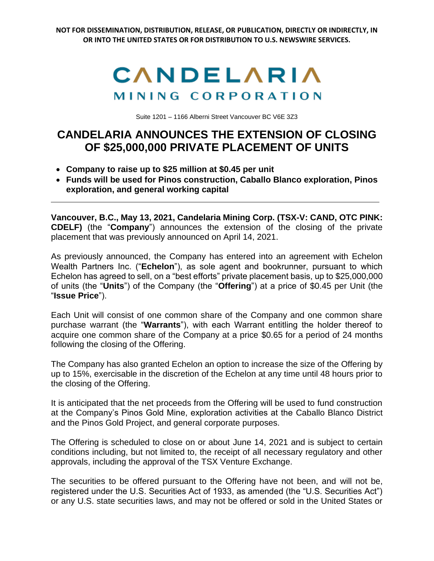**NOT FOR DISSEMINATION, DISTRIBUTION, RELEASE, OR PUBLICATION, DIRECTLY OR INDIRECTLY, IN OR INTO THE UNITED STATES OR FOR DISTRIBUTION TO U.S. NEWSWIRE SERVICES.**



Suite 1201 – 1166 Alberni Street Vancouver BC V6E 3Z3

## **CANDELARIA ANNOUNCES THE EXTENSION OF CLOSING OF \$25,000,000 PRIVATE PLACEMENT OF UNITS**

- **Company to raise up to \$25 million at \$0.45 per unit**
- **Funds will be used for Pinos construction, Caballo Blanco exploration, Pinos exploration, and general working capital**

**Vancouver, B.C., May 13, 2021, Candelaria Mining Corp. (TSX-V: CAND, OTC PINK: CDELF)** (the "**Company**") announces the extension of the closing of the private placement that was previously announced on April 14, 2021.

As previously announced, the Company has entered into an agreement with Echelon Wealth Partners Inc. ("**Echelon**"), as sole agent and bookrunner, pursuant to which Echelon has agreed to sell, on a "best efforts" private placement basis, up to \$25,000,000 of units (the "**Units**") of the Company (the "**Offering**") at a price of \$0.45 per Unit (the "**Issue Price**").

Each Unit will consist of one common share of the Company and one common share purchase warrant (the "**Warrants**"), with each Warrant entitling the holder thereof to acquire one common share of the Company at a price \$0.65 for a period of 24 months following the closing of the Offering.

The Company has also granted Echelon an option to increase the size of the Offering by up to 15%, exercisable in the discretion of the Echelon at any time until 48 hours prior to the closing of the Offering.

It is anticipated that the net proceeds from the Offering will be used to fund construction at the Company's Pinos Gold Mine, exploration activities at the Caballo Blanco District and the Pinos Gold Project, and general corporate purposes.

The Offering is scheduled to close on or about June 14, 2021 and is subject to certain conditions including, but not limited to, the receipt of all necessary regulatory and other approvals, including the approval of the TSX Venture Exchange.

The securities to be offered pursuant to the Offering have not been, and will not be, registered under the U.S. Securities Act of 1933, as amended (the "U.S. Securities Act") or any U.S. state securities laws, and may not be offered or sold in the United States or